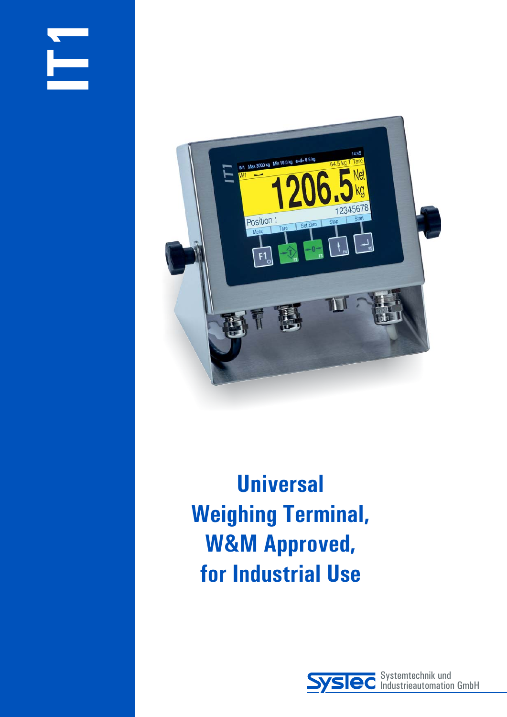



**Universal Weighing Terminal, W&M Approved, for Industrial Use**

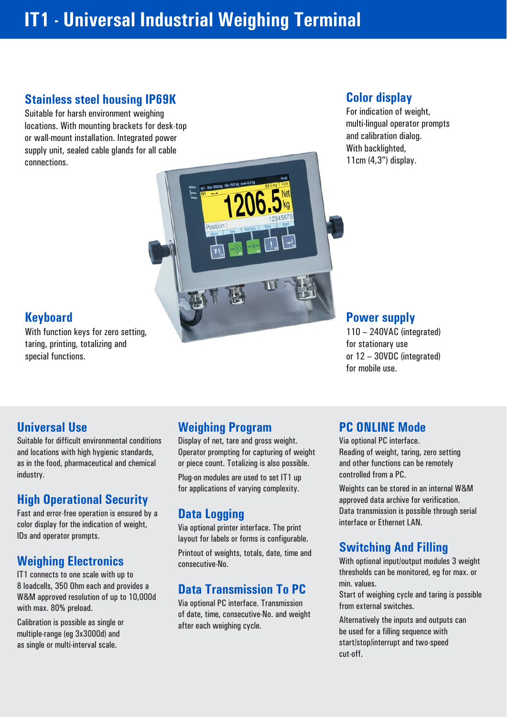# **IT1 - Universal Industrial Weighing Terminal**

# **Stainless steel housing IP69K**

Suitable for harsh environment weighing locations. With mounting brackets for desk-top or wall-mount installation. Integrated power supply unit, sealed cable glands for all cable connections.

# **Color display**

For indication of weight, multi-lingual operator prompts and calibration dialog. With backlighted, 11cm (4,3") display.



With function keys for zero setting, taring, printing, totalizing and special functions.

## **Power supply**

110 – 240VAC (integrated) for stationary use or 12 – 30VDC (integrated) for mobile use.

## **Universal Use**

Suitable for difficult environmental conditions and locations with high hygienic standards, as in the food, pharmaceutical and chemical industry.

# **High Operational Security**

Fast and error-free operation is ensured by a color display for the indication of weight, IDs and operator prompts.

# **Weighing Electronics**

IT1 connects to one scale with up to 8 loadcells, 350 Ohm each and provides a W&M approved resolution of up to 10,000d with max. 80% preload.

Calibration is possible as single or multiple-range (eg 3x3000d) and as single or multi-interval scale.

# **Weighing Program**

Display of net, tare and gross weight. Operator prompting for capturing of weight or piece count. Totalizing is also possible. Plug-on modules are used to set IT1 up for applications of varying complexity.

# **Data Logging**

Via optional printer interface. The print layout for labels or forms is configurable. Printout of weights, totals, date, time and consecutive-No.

# **Data Transmission To PC**

Via optional PC interface. Transmission of date, time, consecutive-No. and weight after each weighing cycle.

## **PC ONLINE Mode**

Via optional PC interface. Reading of weight, taring, zero setting and other functions can be remotely controlled from a PC.

Weights can be stored in an internal W&M approved data archive for verification. Data transmission is possible through serial interface or Ethernet LAN.

# **Switching And Filling**

With optional input/output modules 3 weight thresholds can be monitored, eg for max. or min. values.

Start of weighing cycle and taring is possible from external switches.

Alternatively the inputs and outputs can be used for a filling sequence with start/stop/interrupt and two-speed cut-off.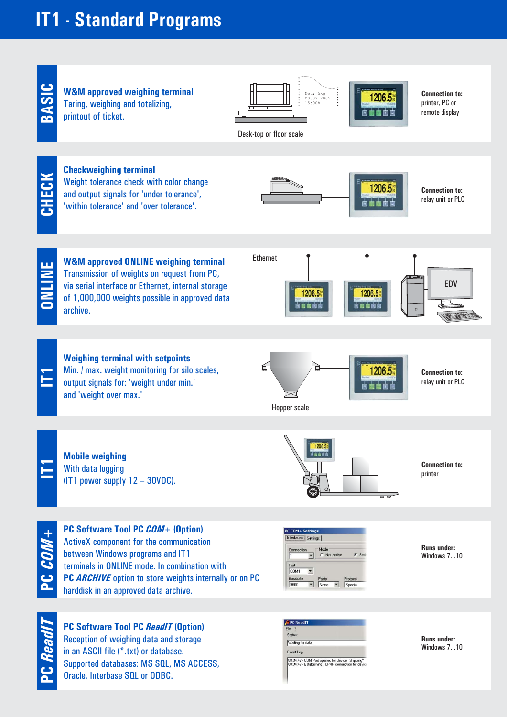# **IT1 - Standard Programs**



Reception of weighing data and storage in an ASCII file (\*.txt) or database. Supported databases: MS SQL, MS ACCESS, Oracle, Interbase SQL or ODBC.



**Runs under:** Windows 7...10